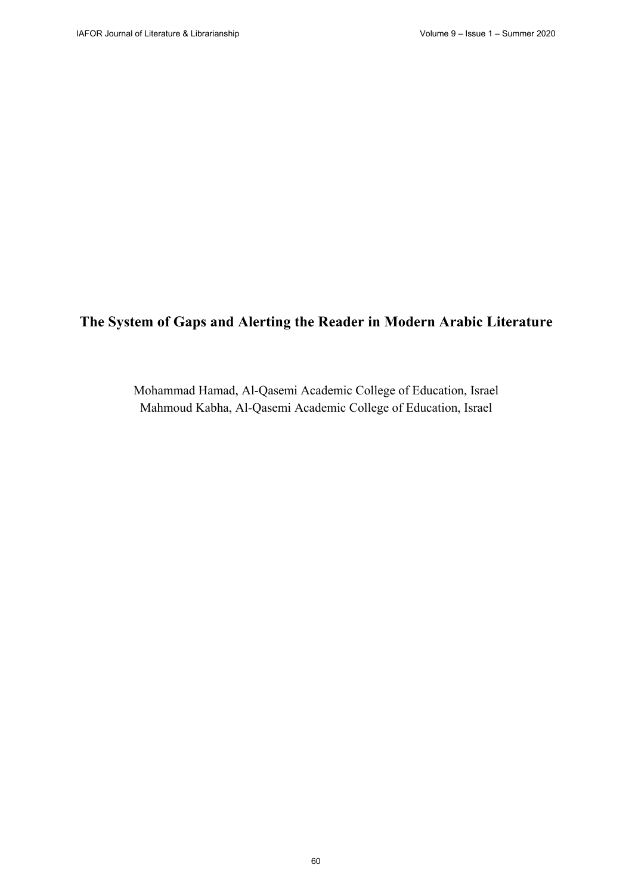# **The System of Gaps and Alerting the Reader in Modern Arabic Literature**

Mohammad Hamad, Al-Qasemi Academic College of Education, Israel Mahmoud Kabha, Al-Qasemi Academic College of Education, Israel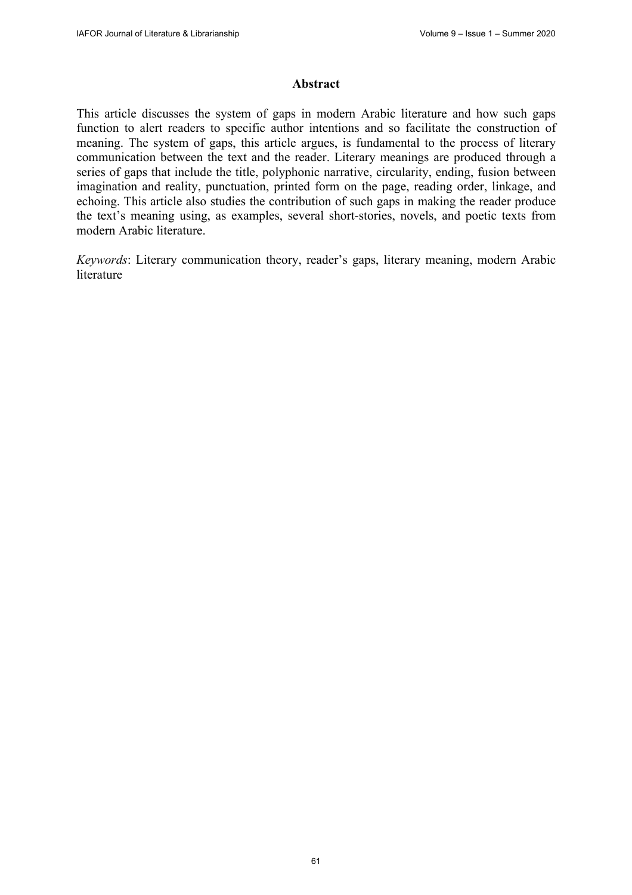#### **Abstract**

This article discusses the system of gaps in modern Arabic literature and how such gaps function to alert readers to specific author intentions and so facilitate the construction of meaning. The system of gaps, this article argues, is fundamental to the process of literary communication between the text and the reader. Literary meanings are produced through a series of gaps that include the title, polyphonic narrative, circularity, ending, fusion between imagination and reality, punctuation, printed form on the page, reading order, linkage, and echoing. This article also studies the contribution of such gaps in making the reader produce the text's meaning using, as examples, several short-stories, novels, and poetic texts from modern Arabic literature.

*Keywords*: Literary communication theory, reader's gaps, literary meaning, modern Arabic literature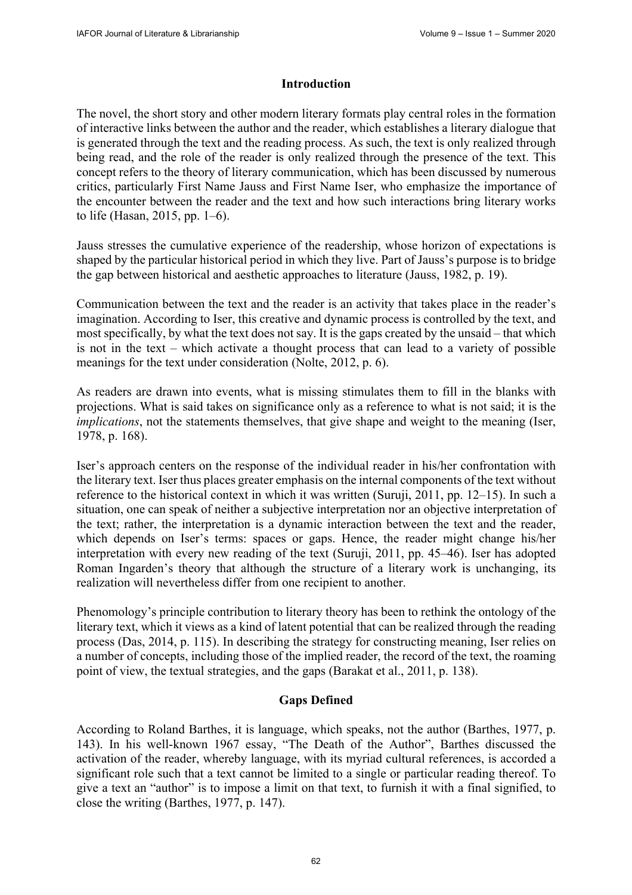## **Introduction**

The novel, the short story and other modern literary formats play central roles in the formation of interactive links between the author and the reader, which establishes a literary dialogue that is generated through the text and the reading process. As such, the text is only realized through being read, and the role of the reader is only realized through the presence of the text. This concept refers to the theory of literary communication, which has been discussed by numerous critics, particularly First Name Jauss and First Name Iser, who emphasize the importance of the encounter between the reader and the text and how such interactions bring literary works to life (Hasan, 2015, pp. 1–6).

Jauss stresses the cumulative experience of the readership, whose horizon of expectations is shaped by the particular historical period in which they live. Part of Jauss's purpose is to bridge the gap between historical and aesthetic approaches to literature (Jauss, 1982, p. 19).

Communication between the text and the reader is an activity that takes place in the reader's imagination. According to Iser, this creative and dynamic process is controlled by the text, and most specifically, by what the text does not say. It is the gaps created by the unsaid – that which is not in the text – which activate a thought process that can lead to a variety of possible meanings for the text under consideration (Nolte, 2012, p. 6).

As readers are drawn into events, what is missing stimulates them to fill in the blanks with projections. What is said takes on significance only as a reference to what is not said; it is the *implications*, not the statements themselves, that give shape and weight to the meaning (Iser, 1978, p. 168).

Iser's approach centers on the response of the individual reader in his/her confrontation with the literary text. Iser thus places greater emphasis on the internal components of the text without reference to the historical context in which it was written (Suruji, 2011, pp. 12–15). In such a situation, one can speak of neither a subjective interpretation nor an objective interpretation of the text; rather, the interpretation is a dynamic interaction between the text and the reader, which depends on Iser's terms: spaces or gaps. Hence, the reader might change his/her interpretation with every new reading of the text (Suruji, 2011, pp. 45–46). Iser has adopted Roman Ingarden's theory that although the structure of a literary work is unchanging, its realization will nevertheless differ from one recipient to another.

Phenomology's principle contribution to literary theory has been to rethink the ontology of the literary text, which it views as a kind of latent potential that can be realized through the reading process (Das, 2014, p. 115). In describing the strategy for constructing meaning, Iser relies on a number of concepts, including those of the implied reader, the record of the text, the roaming point of view, the textual strategies, and the gaps (Barakat et al., 2011, p. 138).

## **Gaps Defined**

According to Roland Barthes, it is language, which speaks, not the author (Barthes, 1977, p. 143). In his well-known 1967 essay, "The Death of the Author", Barthes discussed the activation of the reader, whereby language, with its myriad cultural references, is accorded a significant role such that a text cannot be limited to a single or particular reading thereof. To give a text an "author" is to impose a limit on that text, to furnish it with a final signified, to close the writing (Barthes, 1977, p. 147).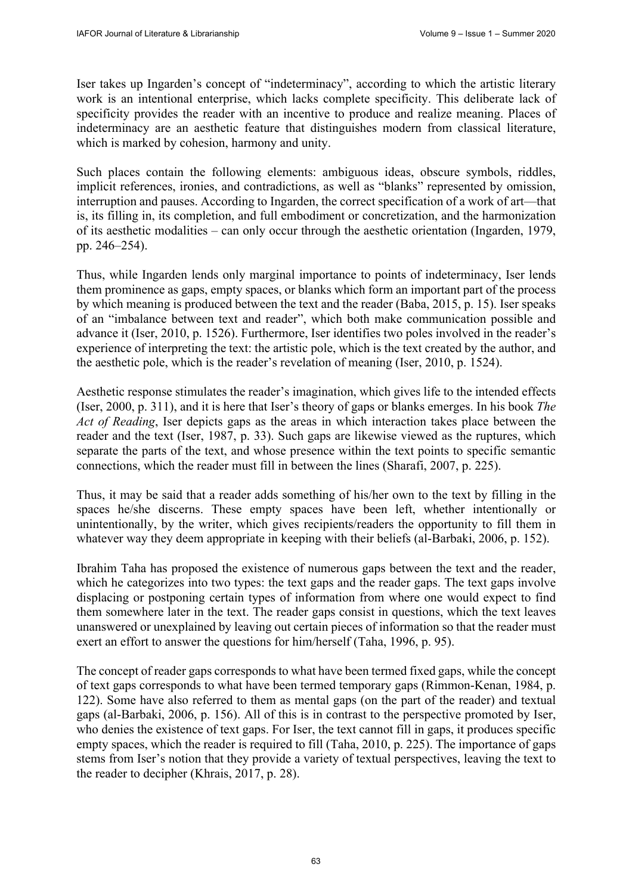Iser takes up Ingarden's concept of "indeterminacy", according to which the artistic literary work is an intentional enterprise, which lacks complete specificity. This deliberate lack of specificity provides the reader with an incentive to produce and realize meaning. Places of indeterminacy are an aesthetic feature that distinguishes modern from classical literature, which is marked by cohesion, harmony and unity.

Such places contain the following elements: ambiguous ideas, obscure symbols, riddles, implicit references, ironies, and contradictions, as well as "blanks" represented by omission, interruption and pauses. According to Ingarden, the correct specification of a work of art—that is, its filling in, its completion, and full embodiment or concretization, and the harmonization of its aesthetic modalities – can only occur through the aesthetic orientation (Ingarden, 1979, pp. 246–254).

Thus, while Ingarden lends only marginal importance to points of indeterminacy, Iser lends them prominence as gaps, empty spaces, or blanks which form an important part of the process by which meaning is produced between the text and the reader (Baba, 2015, p. 15). Iser speaks of an "imbalance between text and reader", which both make communication possible and advance it (Iser, 2010, p. 1526). Furthermore, Iser identifies two poles involved in the reader's experience of interpreting the text: the artistic pole, which is the text created by the author, and the aesthetic pole, which is the reader's revelation of meaning (Iser, 2010, p. 1524).

Aesthetic response stimulates the reader's imagination, which gives life to the intended effects (Iser, 2000, p. 311), and it is here that Iser's theory of gaps or blanks emerges. In his book *The Act of Reading*, Iser depicts gaps as the areas in which interaction takes place between the reader and the text (Iser, 1987, p. 33). Such gaps are likewise viewed as the ruptures, which separate the parts of the text, and whose presence within the text points to specific semantic connections, which the reader must fill in between the lines (Sharafi, 2007, p. 225).

Thus, it may be said that a reader adds something of his/her own to the text by filling in the spaces he/she discerns. These empty spaces have been left, whether intentionally or unintentionally, by the writer, which gives recipients/readers the opportunity to fill them in whatever way they deem appropriate in keeping with their beliefs (al-Barbaki, 2006, p. 152).

Ibrahim Taha has proposed the existence of numerous gaps between the text and the reader, which he categorizes into two types: the text gaps and the reader gaps. The text gaps involve displacing or postponing certain types of information from where one would expect to find them somewhere later in the text. The reader gaps consist in questions, which the text leaves unanswered or unexplained by leaving out certain pieces of information so that the reader must exert an effort to answer the questions for him/herself (Taha, 1996, p. 95).

The concept of reader gaps corresponds to what have been termed fixed gaps, while the concept of text gaps corresponds to what have been termed temporary gaps (Rimmon-Kenan, 1984, p. 122). Some have also referred to them as mental gaps (on the part of the reader) and textual gaps (al-Barbaki, 2006, p. 156). All of this is in contrast to the perspective promoted by Iser, who denies the existence of text gaps. For Iser, the text cannot fill in gaps, it produces specific empty spaces, which the reader is required to fill (Taha, 2010, p. 225). The importance of gaps stems from Iser's notion that they provide a variety of textual perspectives, leaving the text to the reader to decipher (Khrais, 2017, p. 28).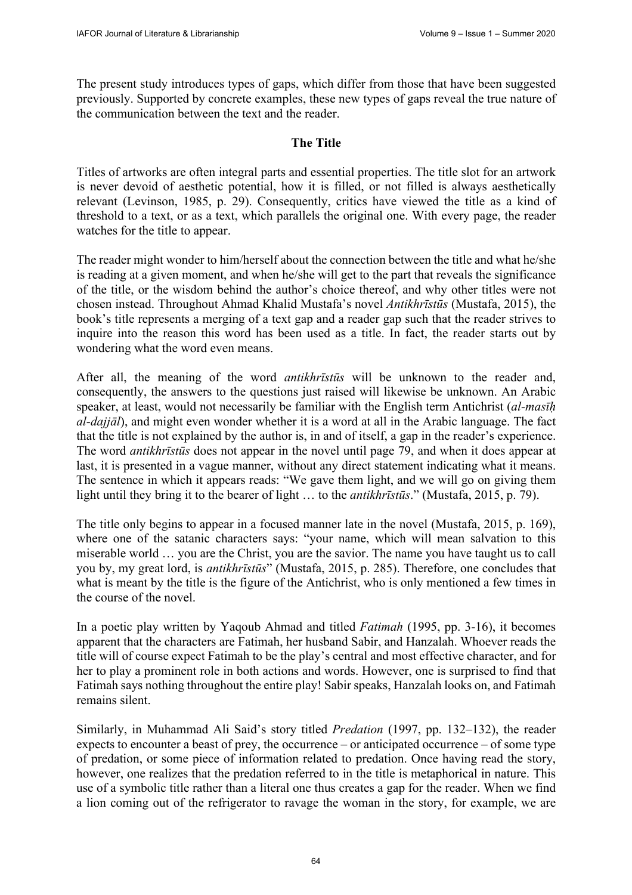The present study introduces types of gaps, which differ from those that have been suggested previously. Supported by concrete examples, these new types of gaps reveal the true nature of the communication between the text and the reader.

# **The Title**

Titles of artworks are often integral parts and essential properties. The title slot for an artwork is never devoid of aesthetic potential, how it is filled, or not filled is always aesthetically relevant (Levinson, 1985, p. 29). Consequently, critics have viewed the title as a kind of threshold to a text, or as a text, which parallels the original one. With every page, the reader watches for the title to appear.

The reader might wonder to him/herself about the connection between the title and what he/she is reading at a given moment, and when he/she will get to the part that reveals the significance of the title, or the wisdom behind the author's choice thereof, and why other titles were not chosen instead. Throughout Ahmad Khalid Mustafa's novel *Antikhrīstūs* (Mustafa, 2015), the book's title represents a merging of a text gap and a reader gap such that the reader strives to inquire into the reason this word has been used as a title. In fact, the reader starts out by wondering what the word even means.

After all, the meaning of the word *antikhrīstūs* will be unknown to the reader and, consequently, the answers to the questions just raised will likewise be unknown. An Arabic speaker, at least, would not necessarily be familiar with the English term Antichrist (*al-masīḥ al-dajjāl*), and might even wonder whether it is a word at all in the Arabic language. The fact that the title is not explained by the author is, in and of itself, a gap in the reader's experience. The word *antikhrīstūs* does not appear in the novel until page 79, and when it does appear at last, it is presented in a vague manner, without any direct statement indicating what it means. The sentence in which it appears reads: "We gave them light, and we will go on giving them light until they bring it to the bearer of light … to the *antikhrīstūs*." (Mustafa, 2015, p. 79).

The title only begins to appear in a focused manner late in the novel (Mustafa, 2015, p. 169), where one of the satanic characters says: "your name, which will mean salvation to this miserable world … you are the Christ, you are the savior. The name you have taught us to call you by, my great lord, is *antikhrīstūs*" (Mustafa, 2015, p. 285). Therefore, one concludes that what is meant by the title is the figure of the Antichrist, who is only mentioned a few times in the course of the novel.

In a poetic play written by Yaqoub Ahmad and titled *Fatimah* (1995, pp. 3-16), it becomes apparent that the characters are Fatimah, her husband Sabir, and Hanzalah. Whoever reads the title will of course expect Fatimah to be the play's central and most effective character, and for her to play a prominent role in both actions and words. However, one is surprised to find that Fatimah says nothing throughout the entire play! Sabir speaks, Hanzalah looks on, and Fatimah remains silent.

Similarly, in Muhammad Ali Said's story titled *Predation* (1997, pp. 132–132), the reader expects to encounter a beast of prey, the occurrence – or anticipated occurrence – of some type of predation, or some piece of information related to predation. Once having read the story, however, one realizes that the predation referred to in the title is metaphorical in nature. This use of a symbolic title rather than a literal one thus creates a gap for the reader. When we find a lion coming out of the refrigerator to ravage the woman in the story, for example, we are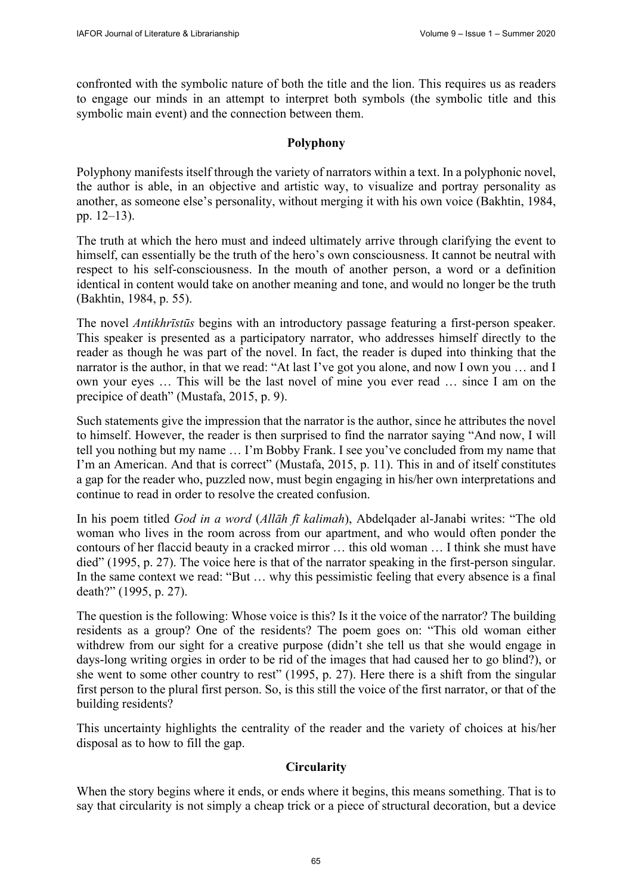confronted with the symbolic nature of both the title and the lion. This requires us as readers to engage our minds in an attempt to interpret both symbols (the symbolic title and this symbolic main event) and the connection between them.

## **Polyphony**

Polyphony manifests itself through the variety of narrators within a text. In a polyphonic novel, the author is able, in an objective and artistic way, to visualize and portray personality as another, as someone else's personality, without merging it with his own voice (Bakhtin, 1984, pp. 12–13).

The truth at which the hero must and indeed ultimately arrive through clarifying the event to himself, can essentially be the truth of the hero's own consciousness. It cannot be neutral with respect to his self-consciousness. In the mouth of another person, a word or a definition identical in content would take on another meaning and tone, and would no longer be the truth (Bakhtin, 1984, p. 55).

The novel *Antikhrīstūs* begins with an introductory passage featuring a first-person speaker. This speaker is presented as a participatory narrator, who addresses himself directly to the reader as though he was part of the novel. In fact, the reader is duped into thinking that the narrator is the author, in that we read: "At last I've got you alone, and now I own you … and I own your eyes … This will be the last novel of mine you ever read … since I am on the precipice of death" (Mustafa, 2015, p. 9).

Such statements give the impression that the narrator is the author, since he attributes the novel to himself. However, the reader is then surprised to find the narrator saying "And now, I will tell you nothing but my name … I'm Bobby Frank. I see you've concluded from my name that I'm an American. And that is correct" (Mustafa, 2015, p. 11). This in and of itself constitutes a gap for the reader who, puzzled now, must begin engaging in his/her own interpretations and continue to read in order to resolve the created confusion.

In his poem titled *God in a word* (*Allāh fī kalimah*), Abdelqader al-Janabi writes: "The old woman who lives in the room across from our apartment, and who would often ponder the contours of her flaccid beauty in a cracked mirror … this old woman … I think she must have died" (1995, p. 27). The voice here is that of the narrator speaking in the first-person singular. In the same context we read: "But … why this pessimistic feeling that every absence is a final death?" (1995, p. 27).

The question is the following: Whose voice is this? Is it the voice of the narrator? The building residents as a group? One of the residents? The poem goes on: "This old woman either withdrew from our sight for a creative purpose (didn't she tell us that she would engage in days-long writing orgies in order to be rid of the images that had caused her to go blind?), or she went to some other country to rest" (1995, p. 27). Here there is a shift from the singular first person to the plural first person. So, is this still the voice of the first narrator, or that of the building residents?

This uncertainty highlights the centrality of the reader and the variety of choices at his/her disposal as to how to fill the gap.

## **Circularity**

When the story begins where it ends, or ends where it begins, this means something. That is to say that circularity is not simply a cheap trick or a piece of structural decoration, but a device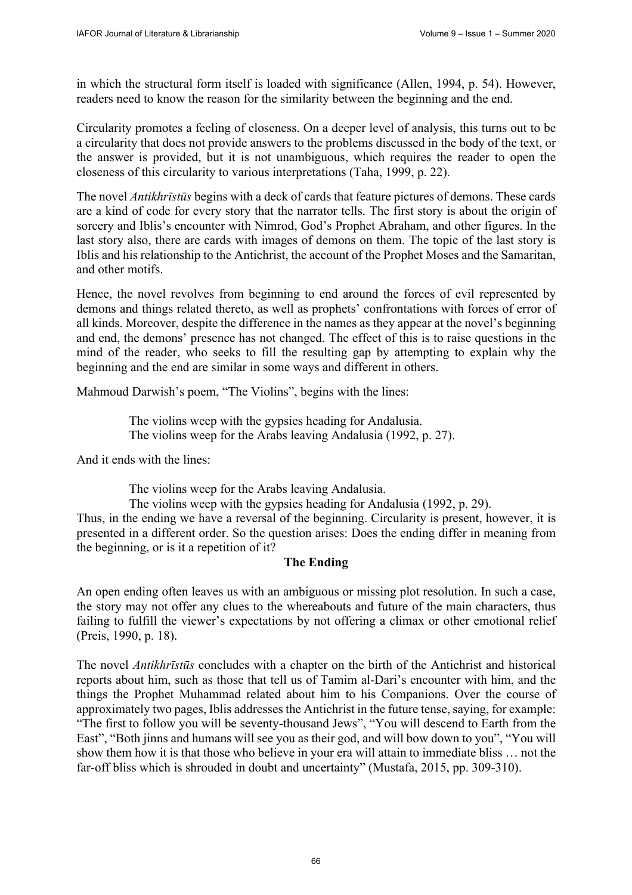in which the structural form itself is loaded with significance (Allen, 1994, p. 54). However, readers need to know the reason for the similarity between the beginning and the end.

Circularity promotes a feeling of closeness. On a deeper level of analysis, this turns out to be a circularity that does not provide answers to the problems discussed in the body of the text, or the answer is provided, but it is not unambiguous, which requires the reader to open the closeness of this circularity to various interpretations (Taha, 1999, p. 22).

The novel *Antikhrīstūs* begins with a deck of cards that feature pictures of demons. These cards are a kind of code for every story that the narrator tells. The first story is about the origin of sorcery and Iblis's encounter with Nimrod, God's Prophet Abraham, and other figures. In the last story also, there are cards with images of demons on them. The topic of the last story is Iblis and his relationship to the Antichrist, the account of the Prophet Moses and the Samaritan, and other motifs.

Hence, the novel revolves from beginning to end around the forces of evil represented by demons and things related thereto, as well as prophets' confrontations with forces of error of all kinds. Moreover, despite the difference in the names as they appear at the novel's beginning and end, the demons' presence has not changed. The effect of this is to raise questions in the mind of the reader, who seeks to fill the resulting gap by attempting to explain why the beginning and the end are similar in some ways and different in others.

Mahmoud Darwish's poem, "The Violins", begins with the lines:

The violins weep with the gypsies heading for Andalusia. The violins weep for the Arabs leaving Andalusia (1992, p. 27).

And it ends with the lines:

The violins weep for the Arabs leaving Andalusia.

The violins weep with the gypsies heading for Andalusia (1992, p. 29). Thus, in the ending we have a reversal of the beginning. Circularity is present, however, it is presented in a different order. So the question arises: Does the ending differ in meaning from the beginning, or is it a repetition of it?

## **The Ending**

An open ending often leaves us with an ambiguous or missing plot resolution. In such a case, the story may not offer any clues to the whereabouts and future of the main characters, thus failing to fulfill the viewer's expectations by not offering a climax or other emotional relief (Preis, 1990, p. 18).

The novel *Antikhrīstūs* concludes with a chapter on the birth of the Antichrist and historical reports about him, such as those that tell us of Tamim al-Dari's encounter with him, and the things the Prophet Muhammad related about him to his Companions. Over the course of approximately two pages, Iblis addresses the Antichrist in the future tense, saying, for example: "The first to follow you will be seventy-thousand Jews", "You will descend to Earth from the East", "Both jinns and humans will see you as their god, and will bow down to you", "You will show them how it is that those who believe in your era will attain to immediate bliss … not the far-off bliss which is shrouded in doubt and uncertainty" (Mustafa, 2015, pp. 309-310).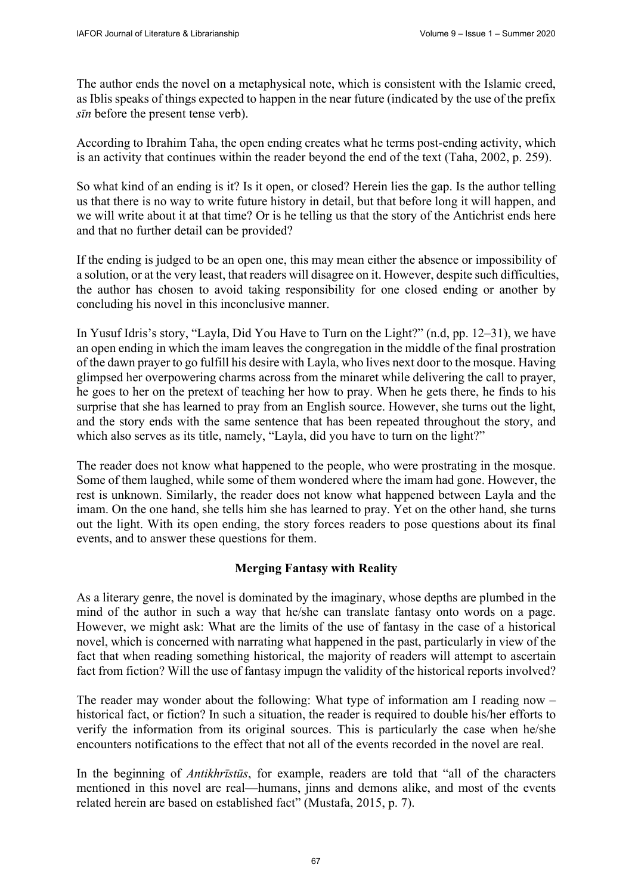The author ends the novel on a metaphysical note, which is consistent with the Islamic creed, as Iblis speaks of things expected to happen in the near future (indicated by the use of the prefix *sīn* before the present tense verb).

According to Ibrahim Taha, the open ending creates what he terms post-ending activity, which is an activity that continues within the reader beyond the end of the text (Taha, 2002, p. 259).

So what kind of an ending is it? Is it open, or closed? Herein lies the gap. Is the author telling us that there is no way to write future history in detail, but that before long it will happen, and we will write about it at that time? Or is he telling us that the story of the Antichrist ends here and that no further detail can be provided?

If the ending is judged to be an open one, this may mean either the absence or impossibility of a solution, or at the very least, that readers will disagree on it. However, despite such difficulties, the author has chosen to avoid taking responsibility for one closed ending or another by concluding his novel in this inconclusive manner.

In Yusuf Idris's story, "Layla, Did You Have to Turn on the Light?" (n.d, pp. 12–31), we have an open ending in which the imam leaves the congregation in the middle of the final prostration of the dawn prayer to go fulfill his desire with Layla, who lives next door to the mosque. Having glimpsed her overpowering charms across from the minaret while delivering the call to prayer, he goes to her on the pretext of teaching her how to pray. When he gets there, he finds to his surprise that she has learned to pray from an English source. However, she turns out the light, and the story ends with the same sentence that has been repeated throughout the story, and which also serves as its title, namely, "Layla, did you have to turn on the light?"

The reader does not know what happened to the people, who were prostrating in the mosque. Some of them laughed, while some of them wondered where the imam had gone. However, the rest is unknown. Similarly, the reader does not know what happened between Layla and the imam. On the one hand, she tells him she has learned to pray. Yet on the other hand, she turns out the light. With its open ending, the story forces readers to pose questions about its final events, and to answer these questions for them.

## **Merging Fantasy with Reality**

As a literary genre, the novel is dominated by the imaginary, whose depths are plumbed in the mind of the author in such a way that he/she can translate fantasy onto words on a page. However, we might ask: What are the limits of the use of fantasy in the case of a historical novel, which is concerned with narrating what happened in the past, particularly in view of the fact that when reading something historical, the majority of readers will attempt to ascertain fact from fiction? Will the use of fantasy impugn the validity of the historical reports involved?

The reader may wonder about the following: What type of information am I reading now – historical fact, or fiction? In such a situation, the reader is required to double his/her efforts to verify the information from its original sources. This is particularly the case when he/she encounters notifications to the effect that not all of the events recorded in the novel are real.

In the beginning of *Antikhrīstūs*, for example, readers are told that "all of the characters mentioned in this novel are real—humans, jinns and demons alike, and most of the events related herein are based on established fact" (Mustafa, 2015, p. 7).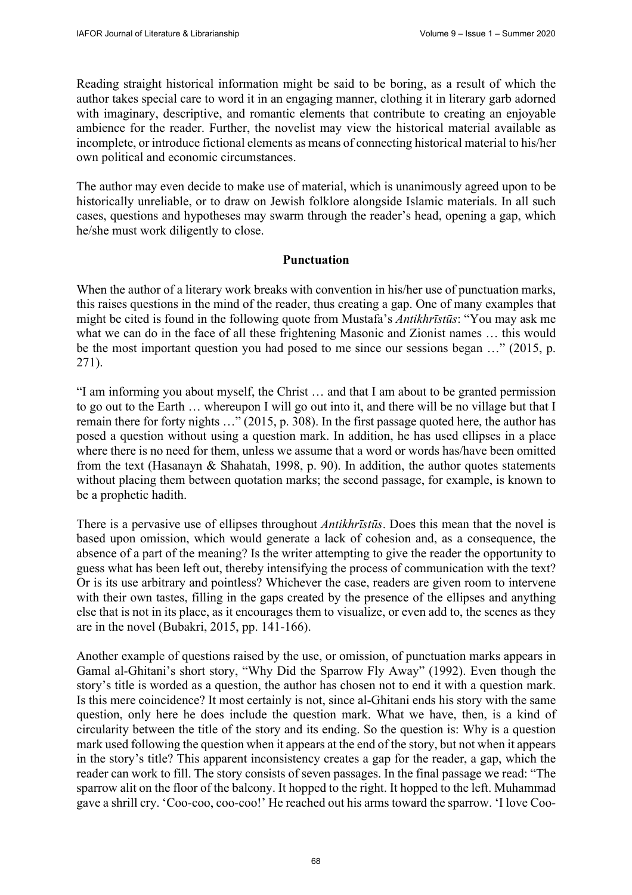Reading straight historical information might be said to be boring, as a result of which the author takes special care to word it in an engaging manner, clothing it in literary garb adorned with imaginary, descriptive, and romantic elements that contribute to creating an enjoyable ambience for the reader. Further, the novelist may view the historical material available as incomplete, or introduce fictional elements as means of connecting historical material to his/her own political and economic circumstances.

The author may even decide to make use of material, which is unanimously agreed upon to be historically unreliable, or to draw on Jewish folklore alongside Islamic materials. In all such cases, questions and hypotheses may swarm through the reader's head, opening a gap, which he/she must work diligently to close.

## **Punctuation**

When the author of a literary work breaks with convention in his/her use of punctuation marks, this raises questions in the mind of the reader, thus creating a gap. One of many examples that might be cited is found in the following quote from Mustafa's *Antikhrīstūs*: "You may ask me what we can do in the face of all these frightening Masonic and Zionist names ... this would be the most important question you had posed to me since our sessions began …" (2015, p. 271).

"I am informing you about myself, the Christ … and that I am about to be granted permission to go out to the Earth … whereupon I will go out into it, and there will be no village but that I remain there for forty nights …" (2015, p. 308). In the first passage quoted here, the author has posed a question without using a question mark. In addition, he has used ellipses in a place where there is no need for them, unless we assume that a word or words has/have been omitted from the text (Hasanayn & Shahatah, 1998, p. 90). In addition, the author quotes statements without placing them between quotation marks; the second passage, for example, is known to be a prophetic hadith.

There is a pervasive use of ellipses throughout *Antikhrīstūs*. Does this mean that the novel is based upon omission, which would generate a lack of cohesion and, as a consequence, the absence of a part of the meaning? Is the writer attempting to give the reader the opportunity to guess what has been left out, thereby intensifying the process of communication with the text? Or is its use arbitrary and pointless? Whichever the case, readers are given room to intervene with their own tastes, filling in the gaps created by the presence of the ellipses and anything else that is not in its place, as it encourages them to visualize, or even add to, the scenes as they are in the novel (Bubakri, 2015, pp. 141-166).

Another example of questions raised by the use, or omission, of punctuation marks appears in Gamal al-Ghitani's short story, "Why Did the Sparrow Fly Away" (1992). Even though the story's title is worded as a question, the author has chosen not to end it with a question mark. Is this mere coincidence? It most certainly is not, since al-Ghitani ends his story with the same question, only here he does include the question mark. What we have, then, is a kind of circularity between the title of the story and its ending. So the question is: Why is a question mark used following the question when it appears at the end of the story, but not when it appears in the story's title? This apparent inconsistency creates a gap for the reader, a gap, which the reader can work to fill. The story consists of seven passages. In the final passage we read: "The sparrow alit on the floor of the balcony. It hopped to the right. It hopped to the left. Muhammad gave a shrill cry. 'Coo-coo, coo-coo!' He reached out his arms toward the sparrow. 'I love Coo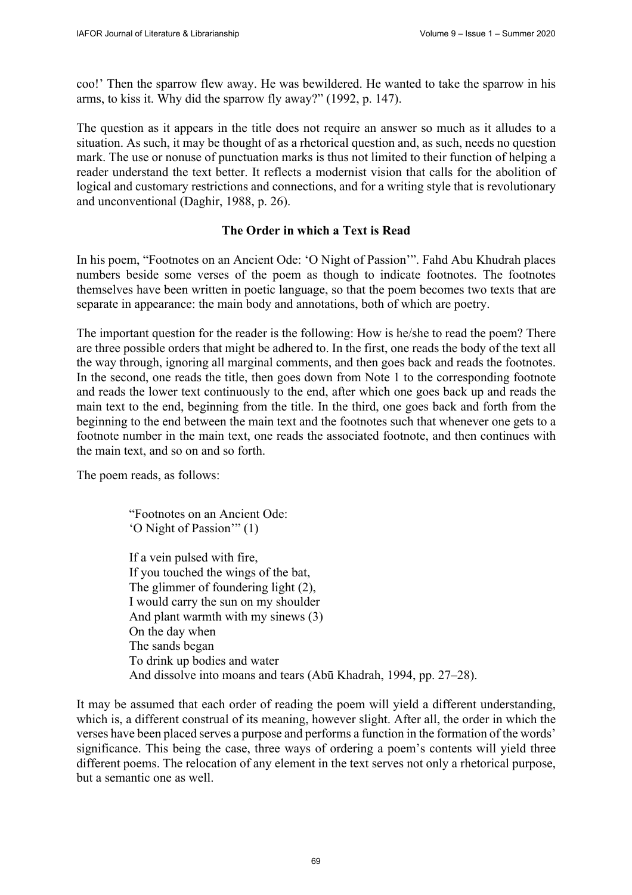coo!' Then the sparrow flew away. He was bewildered. He wanted to take the sparrow in his arms, to kiss it. Why did the sparrow fly away?" (1992, p. 147).

The question as it appears in the title does not require an answer so much as it alludes to a situation. As such, it may be thought of as a rhetorical question and, as such, needs no question mark. The use or nonuse of punctuation marks is thus not limited to their function of helping a reader understand the text better. It reflects a modernist vision that calls for the abolition of logical and customary restrictions and connections, and for a writing style that is revolutionary and unconventional (Daghir, 1988, p. 26).

## **The Order in which a Text is Read**

In his poem, "Footnotes on an Ancient Ode: 'O Night of Passion'". Fahd Abu Khudrah places numbers beside some verses of the poem as though to indicate footnotes. The footnotes themselves have been written in poetic language, so that the poem becomes two texts that are separate in appearance: the main body and annotations, both of which are poetry.

The important question for the reader is the following: How is he/she to read the poem? There are three possible orders that might be adhered to. In the first, one reads the body of the text all the way through, ignoring all marginal comments, and then goes back and reads the footnotes. In the second, one reads the title, then goes down from Note 1 to the corresponding footnote and reads the lower text continuously to the end, after which one goes back up and reads the main text to the end, beginning from the title. In the third, one goes back and forth from the beginning to the end between the main text and the footnotes such that whenever one gets to a footnote number in the main text, one reads the associated footnote, and then continues with the main text, and so on and so forth.

The poem reads, as follows:

"Footnotes on an Ancient Ode: 'O Night of Passion'" (1)

If a vein pulsed with fire, If you touched the wings of the bat, The glimmer of foundering light (2), I would carry the sun on my shoulder And plant warmth with my sinews (3) On the day when The sands began To drink up bodies and water And dissolve into moans and tears (Abū Khadrah, 1994, pp. 27–28).

It may be assumed that each order of reading the poem will yield a different understanding, which is, a different construal of its meaning, however slight. After all, the order in which the verses have been placed serves a purpose and performs a function in the formation of the words' significance. This being the case, three ways of ordering a poem's contents will yield three different poems. The relocation of any element in the text serves not only a rhetorical purpose, but a semantic one as well.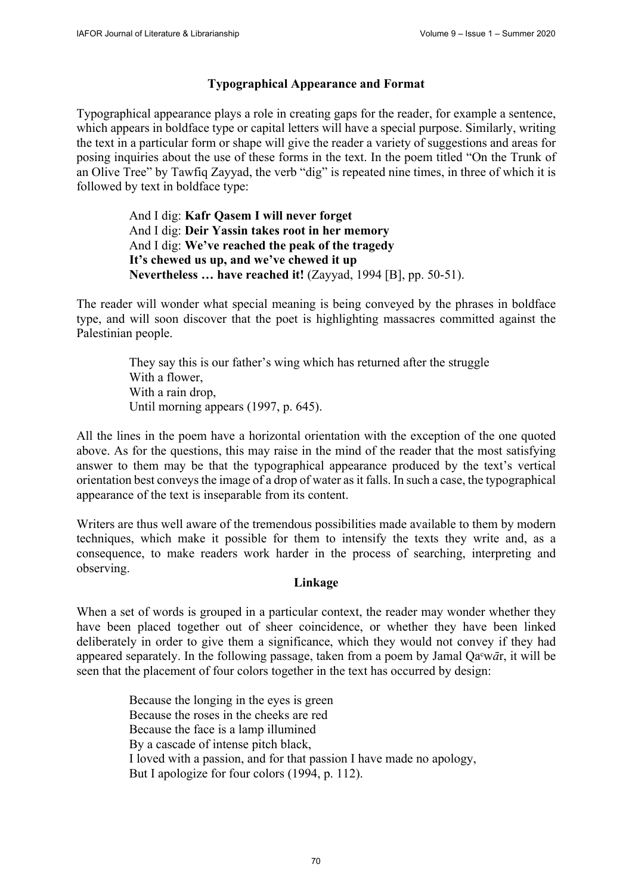# **Typographical Appearance and Format**

Typographical appearance plays a role in creating gaps for the reader, for example a sentence, which appears in boldface type or capital letters will have a special purpose. Similarly, writing the text in a particular form or shape will give the reader a variety of suggestions and areas for posing inquiries about the use of these forms in the text. In the poem titled "On the Trunk of an Olive Tree" by Tawfiq Zayyad, the verb "dig" is repeated nine times, in three of which it is followed by text in boldface type:

> And I dig: **Kafr Qasem I will never forget**  And I dig: **Deir Yassin takes root in her memory**  And I dig: **We've reached the peak of the tragedy It's chewed us up, and we've chewed it up Nevertheless … have reached it!** (Zayyad, 1994 [B], pp. 50-51).

The reader will wonder what special meaning is being conveyed by the phrases in boldface type, and will soon discover that the poet is highlighting massacres committed against the Palestinian people.

> They say this is our father's wing which has returned after the struggle With a flower, With a rain drop, Until morning appears (1997, p. 645).

All the lines in the poem have a horizontal orientation with the exception of the one quoted above. As for the questions, this may raise in the mind of the reader that the most satisfying answer to them may be that the typographical appearance produced by the text's vertical orientation best conveys the image of a drop of water as it falls. In such a case, the typographical appearance of the text is inseparable from its content.

Writers are thus well aware of the tremendous possibilities made available to them by modern techniques, which make it possible for them to intensify the texts they write and, as a consequence, to make readers work harder in the process of searching, interpreting and observing.

## **Linkage**

When a set of words is grouped in a particular context, the reader may wonder whether they have been placed together out of sheer coincidence, or whether they have been linked deliberately in order to give them a significance, which they would not convey if they had appeared separately. In the following passage, taken from a poem by Jamal Qa<sup>c</sup>w*ār*, it will be seen that the placement of four colors together in the text has occurred by design:

> Because the longing in the eyes is green Because the roses in the cheeks are red Because the face is a lamp illumined By a cascade of intense pitch black, I loved with a passion, and for that passion I have made no apology, But I apologize for four colors (1994, p. 112).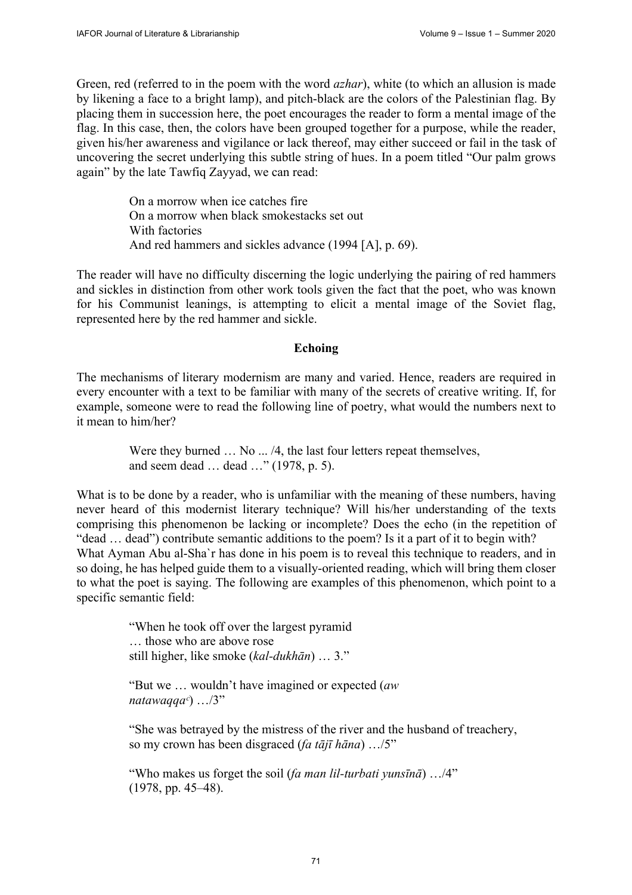Green, red (referred to in the poem with the word *azhar*), white (to which an allusion is made by likening a face to a bright lamp), and pitch-black are the colors of the Palestinian flag. By placing them in succession here, the poet encourages the reader to form a mental image of the flag. In this case, then, the colors have been grouped together for a purpose, while the reader, given his/her awareness and vigilance or lack thereof, may either succeed or fail in the task of uncovering the secret underlying this subtle string of hues. In a poem titled "Our palm grows again" by the late Tawfiq Zayyad, we can read:

> On a morrow when ice catches fire On a morrow when black smokestacks set out With factories And red hammers and sickles advance (1994 [A], p. 69).

The reader will have no difficulty discerning the logic underlying the pairing of red hammers and sickles in distinction from other work tools given the fact that the poet, who was known for his Communist leanings, is attempting to elicit a mental image of the Soviet flag, represented here by the red hammer and sickle.

#### **Echoing**

The mechanisms of literary modernism are many and varied. Hence, readers are required in every encounter with a text to be familiar with many of the secrets of creative writing. If, for example, someone were to read the following line of poetry, what would the numbers next to it mean to him/her?

> Were they burned ... No ... /4, the last four letters repeat themselves, and seem dead … dead …" (1978, p. 5).

What is to be done by a reader, who is unfamiliar with the meaning of these numbers, having never heard of this modernist literary technique? Will his/her understanding of the texts comprising this phenomenon be lacking or incomplete? Does the echo (in the repetition of "dead … dead") contribute semantic additions to the poem? Is it a part of it to begin with? What Ayman Abu al-Sha`r has done in his poem is to reveal this technique to readers, and in so doing, he has helped guide them to a visually-oriented reading, which will bring them closer to what the poet is saying. The following are examples of this phenomenon, which point to a specific semantic field:

> "When he took off over the largest pyramid … those who are above rose still higher, like smoke (*kal-dukhān*) … 3."

"But we … wouldn't have imagined or expected (*aw natawaqqaᶜ*) …/3"

"She was betrayed by the mistress of the river and the husband of treachery, so my crown has been disgraced (*fa tājī hāna*) …/5"

"Who makes us forget the soil (*fa man lil-turbati yunsīnā*) …/4" (1978, pp. 45–48).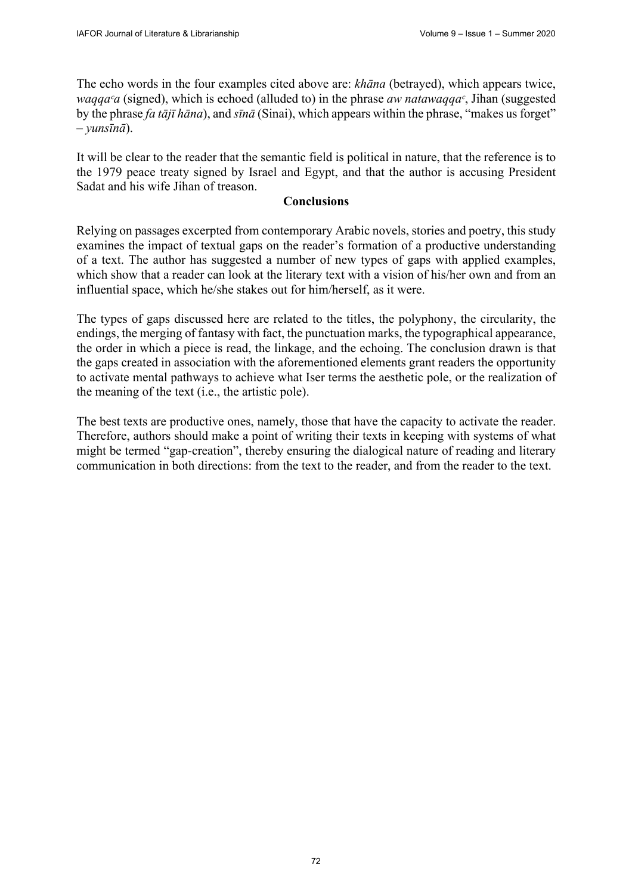The echo words in the four examples cited above are: *khāna* (betrayed), which appears twice, *waqqa<sup>c</sup>a* (signed), which is echoed (alluded to) in the phrase *aw natawaqqa<sup>c</sup>*, Jihan (suggested by the phrase *fa tājī hāna*), and *sīnā* (Sinai), which appears within the phrase, "makes us forget" – *yunsīnā*).

It will be clear to the reader that the semantic field is political in nature, that the reference is to the 1979 peace treaty signed by Israel and Egypt, and that the author is accusing President Sadat and his wife Jihan of treason.

## **Conclusions**

Relying on passages excerpted from contemporary Arabic novels, stories and poetry, this study examines the impact of textual gaps on the reader's formation of a productive understanding of a text. The author has suggested a number of new types of gaps with applied examples, which show that a reader can look at the literary text with a vision of his/her own and from an influential space, which he/she stakes out for him/herself, as it were.

The types of gaps discussed here are related to the titles, the polyphony, the circularity, the endings, the merging of fantasy with fact, the punctuation marks, the typographical appearance, the order in which a piece is read, the linkage, and the echoing. The conclusion drawn is that the gaps created in association with the aforementioned elements grant readers the opportunity to activate mental pathways to achieve what Iser terms the aesthetic pole, or the realization of the meaning of the text (i.e., the artistic pole).

The best texts are productive ones, namely, those that have the capacity to activate the reader. Therefore, authors should make a point of writing their texts in keeping with systems of what might be termed "gap-creation", thereby ensuring the dialogical nature of reading and literary communication in both directions: from the text to the reader, and from the reader to the text.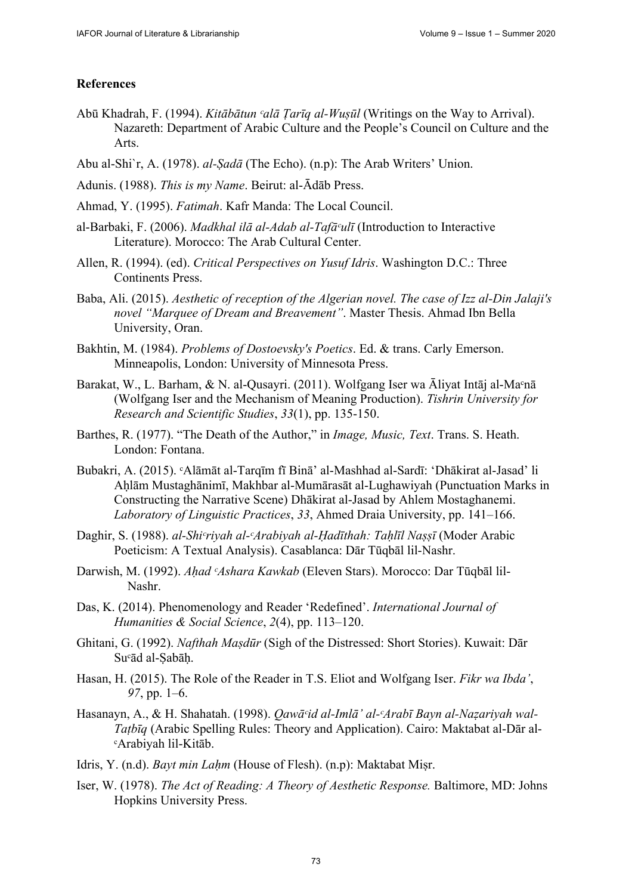#### **References**

- Abū Khadrah, F. (1994). *Kitābātun ᶜalā Ṭarīq al-Wuṣūl* (Writings on the Way to Arrival). Nazareth: Department of Arabic Culture and the People's Council on Culture and the Arts.
- Abu al-Shi`r, A. (1978). *al-Ṣadā* (The Echo). (n.p): The Arab Writers' Union.
- Adunis. (1988). *This is my Name*. Beirut: al-Ādāb Press.
- Ahmad, Y. (1995). *Fatimah*. Kafr Manda: The Local Council.
- al-Barbaki, F. (2006). *Madkhal ilā al-Adab al-Tafāᶜulī* (Introduction to Interactive Literature). Morocco: The Arab Cultural Center.
- Allen, R. (1994). (ed). *Critical Perspectives on Yusuf Idris*. Washington D.C.: Three Continents Press.
- Baba, Ali. (2015). *Aesthetic of reception of the Algerian novel. The case of Izz al-Din Jalaji's novel "Marquee of Dream and Breavement"*. Master Thesis. Ahmad Ibn Bella University, Oran.
- Bakhtin, M. (1984). *Problems of Dostoevsky's Poetics*. Ed. & trans. Carly Emerson. Minneapolis, London: University of Minnesota Press.
- Barakat, W., L. Barham, & N. al-Qusayri. (2011). Wolfgang Iser wa Āliyat Intāj al-Ma°nā (Wolfgang Iser and the Mechanism of Meaning Production). *Tishrin University for Research and Scientific Studies*, *33*(1), pp. 135-150.
- Barthes, R. (1977). "The Death of the Author," in *Image, Music, Text*. Trans. S. Heath. London: Fontana.
- Bubakri, A. (2015). ᶜAlāmāt al-Tarqīm fī Binā' al-Mashhad al-Sardī: 'Dhākirat al-Jasad' li Aḥlām Mustaghānimī, Makhbar al-Mumārasāt al-Lughawiyah (Punctuation Marks in Constructing the Narrative Scene) Dhākirat al-Jasad by Ahlem Mostaghanemi. *Laboratory of Linguistic Practices*, *33*, Ahmed Draia University, pp. 141–166.
- Daghir, S. (1988). *al-Shi°riyah al-ʿArabiyah al-Hadīthah: Tahlīl Nassī* (Moder Arabic Poeticism: A Textual Analysis). Casablanca: Dār Tūqbāl lil-Nashr.
- Darwish, M. (1992). *Aḥad ᶜAshara Kawkab* (Eleven Stars). Morocco: Dar Tūqbāl lil- Nashr.
- Das, K. (2014). Phenomenology and Reader 'Redefined'. *International Journal of Humanities & Social Science*, *2*(4), pp. 113–120.
- Ghitani, G. (1992). *Nafthah Maṣdūr* (Sigh of the Distressed: Short Stories). Kuwait: Dār Suᶜād al-Ṣabāḥ.
- Hasan, H. (2015). The Role of the Reader in T.S. Eliot and Wolfgang Iser. *Fikr wa Ibda'*,  *97*, pp. 1–6.
- Hasanayn, A., & H. Shahatah. (1998). *Qawāᶜid al-Imlā' al-ᶜArabī Bayn al-Naẓariyah wal-Taṭbīq* (Arabic Spelling Rules: Theory and Application). Cairo: Maktabat al-Dār al-ᶜArabiyah lil-Kitāb.
- Idris, Y. (n.d). *Bayt min Lahm* (House of Flesh). (n.p): Maktabat Misr.
- Iser, W. (1978). *The Act of Reading: A Theory of Aesthetic Response.* Baltimore, MD: Johns Hopkins University Press.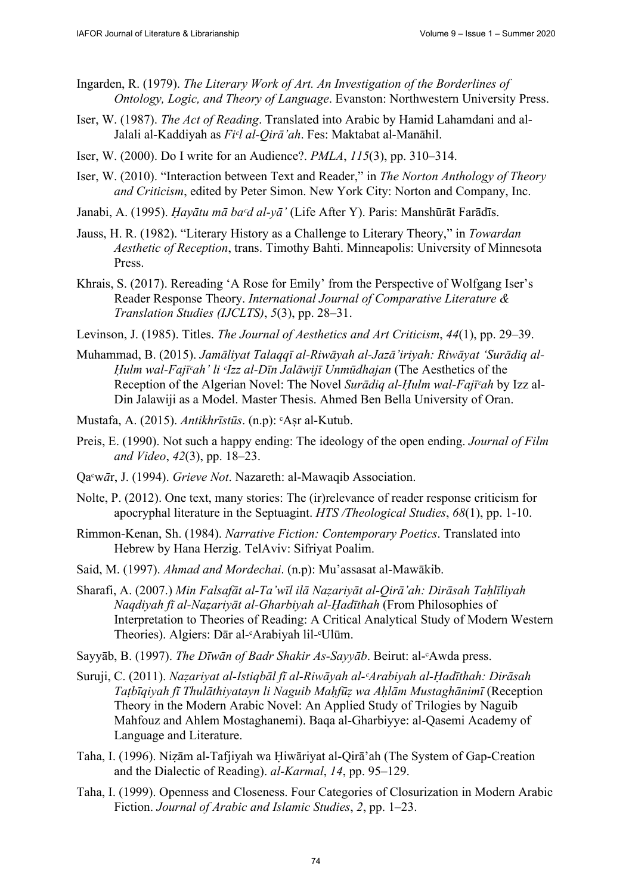- Ingarden, R. (1979). *The Literary Work of Art. An Investigation of the Borderlines of Ontology, Logic, and Theory of Language*. Evanston: Northwestern University Press.
- Iser, W. (1987). *The Act of Reading*. Translated into Arabic by Hamid Lahamdani and al-Jalali al-Kaddiyah as *Fiᶜl al-Qirā'ah*. Fes: Maktabat al-Manāhil.
- Iser, W. (2000). Do I write for an Audience?. *PMLA*, *115*(3), pp. 310–314.
- Iser, W. (2010). "Interaction between Text and Reader," in *The Norton Anthology of Theory and Criticism*, edited by Peter Simon. New York City: Norton and Company, Inc.
- Janabi, A. (1995). *Ḥayātu mā baᶜd al-yā'* (Life After Y). Paris: Manshūrāt Farādīs.
- Jauss, H. R. (1982). "Literary History as a Challenge to Literary Theory," in *Towardan Aesthetic of Reception*, trans. Timothy Bahti. Minneapolis: University of Minnesota Press.
- Khrais, S. (2017). Rereading 'A Rose for Emily' from the Perspective of Wolfgang Iser's Reader Response Theory. *International Journal of Comparative Literature & Translation Studies (IJCLTS)*, *5*(3), pp. 28–31.
- Levinson, J. (1985). Titles. *The Journal of Aesthetics and Art Criticism*, *44*(1), pp. 29–39.
- Muhammad, B. (2015). *Jamāliyat Talaqqī al-Riwāyah al-Jazā'iriyah: Riwāyat 'Surādiq al-Ḥulm wal-Fajīᶜah' li ᶜIzz al-Dīn Jalāwijī Unmūdhajan* (The Aesthetics of the Reception of the Algerian Novel: The Novel *Surādiq al-Ḥulm wal-Fajīᶜah* by Izz al-Din Jalawiji as a Model. Master Thesis. Ahmed Ben Bella University of Oran.
- Mustafa, A. (2015). *Antikhrīstūs*. (n.p): ᶜAṣr al-Kutub.
- Preis, E. (1990). Not such a happy ending: The ideology of the open ending. *Journal of Film and Video*, *42*(3), pp. 18–23.
- Qaᶜw*ā*r, J. (1994). *Grieve Not*. Nazareth: al-Mawaqib Association.
- Nolte, P. (2012). One text, many stories: The (ir)relevance of reader response criticism for apocryphal literature in the Septuagint. *HTS /Theological Studies*, *68*(1), pp. 1-10.
- Rimmon-Kenan, Sh. (1984). *Narrative Fiction: Contemporary Poetics*. Translated into Hebrew by Hana Herzig. TelAviv: Sifriyat Poalim.
- Said, M. (1997). *Ahmad and Mordechai*. (n.p): Mu'assasat al-Mawākib.
- Sharafi, A. (2007.) *Min Falsafāt al-Ta'wīl ilā Naẓariyāt al-Qirā'ah: Dirāsah Taḥlīliyah Naqdiyah fī al-Naẓariyāt al-Gharbiyah al-Ḥadīthah* (From Philosophies of Interpretation to Theories of Reading: A Critical Analytical Study of Modern Western Theories). Algiers: Dār al-ᶜArabiyah lil-ᶜUlūm.
- Sayyāb, B. (1997). *The Dīwān of Badr Shakir As-Sayyāb*. Beirut: al-ᶜAwda press.
- Suruji, C. (2011). *Naẓariyat al-Istiqbāl fī al-Riwāyah al-ᶜArabiyah al-Ḥadīthah: Dirāsah Taṭbīqiyah fī Thulāthiyatayn li Naguib Maḥfūẓ wa Aḥlām Mustaghānimī* (Reception Theory in the Modern Arabic Novel: An Applied Study of Trilogies by Naguib Mahfouz and Ahlem Mostaghanemi). Baqa al-Gharbiyye: al-Qasemi Academy of Language and Literature.
- Taha, I. (1996). Niẓām al-Tafjiyah wa Ḥiwāriyat al-Qirā'ah (The System of Gap-Creation and the Dialectic of Reading). *al-Karmal*, *14*, pp. 95–129.
- Taha, I. (1999). Openness and Closeness. Four Categories of Closurization in Modern Arabic Fiction. *Journal of Arabic and Islamic Studies*, *2*, pp. 1–23.